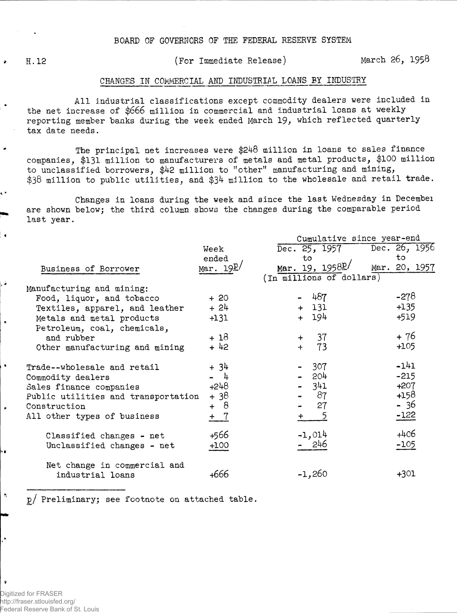$\rightarrow$ 

٠÷

 $\overline{\phantom{a}}$ 

 $\bullet$ 

 $\mathbf{S}$ 

 $\mathbf{r}$ 

H.12 (For Immediate Release) March 26, 1958

## CHANGES IN COMMERCIAL AMD INDUSTRIAL LOANS BY INDUSTRY

All industrial classifications except commodity dealers were included in the net increase of \$666 million in commercial and industrial loans at weekly reporting member hanks during the week ended March 19, which reflected quarterly tax date needs.

The principal net increases were \$248 million in loans to sales finance companies, \$131 million to manufacturers of metals and metal products, \$100 million to unclassified borrowers, \$42 million to "other" manufacturing and mining, \$38 million to public utilities, and \$34 million to the wholesale and retail trade.

Changes in loans during the week and since the last Wednesday in Decembei are shown below; the third column shows the changes during the comparable period last year.

|                                     |            | Cumulative since year-end      |               |  |  |  |  |  |
|-------------------------------------|------------|--------------------------------|---------------|--|--|--|--|--|
|                                     | Week       | Dec. 25, 1957                  | Dec. 26, 1956 |  |  |  |  |  |
|                                     | ended      | to                             | to            |  |  |  |  |  |
| Business of Borrower                | Mar. $19L$ | Mar. 19, $1958$ <sup>p</sup> / | Mar. 20, 1957 |  |  |  |  |  |
|                                     |            | (In millions of dollars)       |               |  |  |  |  |  |
| Manufacturing and mining:           |            |                                |               |  |  |  |  |  |
| Food, liquor, and tobacco           | $+20$      | 467                            | $-278$        |  |  |  |  |  |
| Textiles, apparel, and leather      | $+24$      | $+ 131$                        | $+135$        |  |  |  |  |  |
| Metals and metal products           | $+131$     | + 194                          | $+519$        |  |  |  |  |  |
| Petroleum, coal, chemicals,         |            |                                |               |  |  |  |  |  |
| and rubber                          | $+18$      | 37<br>$+$ $-$                  | + 76          |  |  |  |  |  |
| Other manufacturing and mining      | $+42$      | 73<br>$+$                      | $+105$        |  |  |  |  |  |
| Trade--wholesale and retail         | $+34$      | 307                            | $-141$        |  |  |  |  |  |
| Commodity dealers                   | - 4        | $-204$                         | $-215$        |  |  |  |  |  |
| Sales finance companies             | $+248$     | $-341$                         | $+207$        |  |  |  |  |  |
| Public utilities and transportation | $+38$      | 87                             | $+158$        |  |  |  |  |  |
| Construction                        | + 8        | 27                             | - 36          |  |  |  |  |  |
| All other types of business         | + 7        | -5                             | $-122$        |  |  |  |  |  |
| Classified changes - net            | +566       | $-1,014$                       | $+406$        |  |  |  |  |  |
| Unclassified changes - net          | $+100$     | 246                            | $-105$        |  |  |  |  |  |
| Net change in commercial and        |            |                                |               |  |  |  |  |  |
| industrial loans                    | +666       | $-1,260$                       | $+301$        |  |  |  |  |  |

g/ Preliminary; see footnote on attached table.